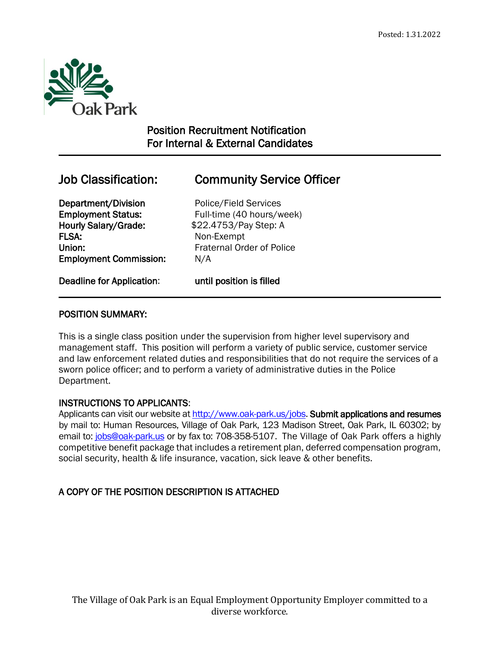

 $\overline{a}$ 

## Position Recruitment Notification For Internal & External Candidates

# Job Classification: Community Service Officer

Department/Division Police/Field Services Hourly Salary/Grade:  $$22.4753/Pay Step: A$ FLSA: Non-Exempt Union: Fraternal Order of Police Employment Commission: N/A

Employment Status: Full-time (40 hours/week)

Deadline for Application: until position is filled

## POSITION SUMMARY:

This is a single class position under the supervision from higher level supervisory and management staff. This position will perform a variety of public service, customer service and law enforcement related duties and responsibilities that do not require the services of a sworn police officer; and to perform a variety of administrative duties in the Police Department.

## INSTRUCTIONS TO APPLICANTS:

Applicants can visit our website a[t http://www.oak-park.us/j](http://www.oak-park.us/)obs. Submit applications and resumes by mail to: Human Resources, Village of Oak Park, 123 Madison Street, Oak Park, IL 60302; by email to: [jobs@oak-park.us](mailto:jobs@oak-park.us) or by fax to: 708-358-5107. The Village of Oak Park offers a highly competitive benefit package that includes a retirement plan, deferred compensation program, social security, health & life insurance, vacation, sick leave & other benefits.

## A COPY OF THE POSITION DESCRIPTION IS ATTACHED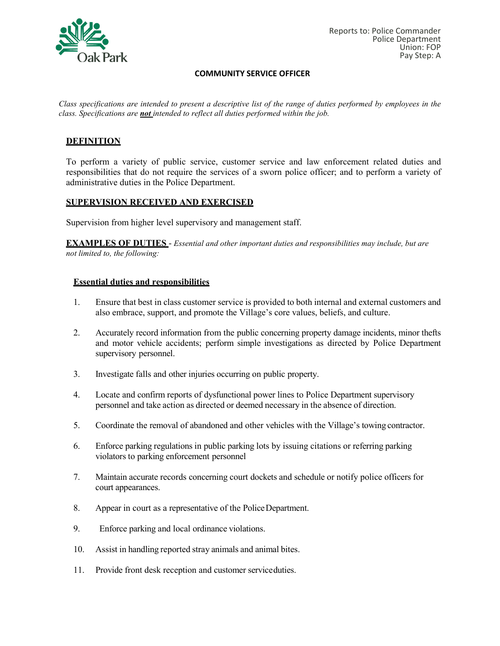

#### **COMMUNITY SERVICE OFFICER**

*Class specifications are intended to present a descriptive list of the range of duties performed by employees in the class. Specifications are not intended to reflect all duties performed within the job.*

## **DEFINITION**

To perform a variety of public service, customer service and law enforcement related duties and responsibilities that do not require the services of a sworn police officer; and to perform a variety of administrative duties in the Police Department.

#### **SUPERVISION RECEIVED AND EXERCISED**

Supervision from higher level supervisory and management staff.

**EXAMPLES OF DUTIES** - *Essential and other important duties and responsibilities may include, but are not limited to, the following:*

#### **Essential duties and responsibilities**

- 1. Ensure that best in class customer service is provided to both internal and external customers and also embrace, support, and promote the Village's core values, beliefs, and culture.
- 2. Accurately record information from the public concerning property damage incidents, minor thefts and motor vehicle accidents; perform simple investigations as directed by Police Department supervisory personnel.
- 3. Investigate falls and other injuries occurring on public property.
- 4. Locate and confirm reports of dysfunctional power lines to Police Department supervisory personnel and take action as directed or deemed necessary in the absence of direction.
- 5. Coordinate the removal of abandoned and other vehicles with the Village's towing contractor.
- 6. Enforce parking regulations in public parking lots by issuing citations or referring parking violators to parking enforcement personnel
- 7. Maintain accurate records concerning court dockets and schedule or notify police officers for court appearances.
- 8. Appear in court as a representative of the Police Department.
- 9. Enforce parking and local ordinance violations.
- 10. Assist in handling reported stray animals and animal bites.
- 11. Provide front desk reception and customer serviceduties.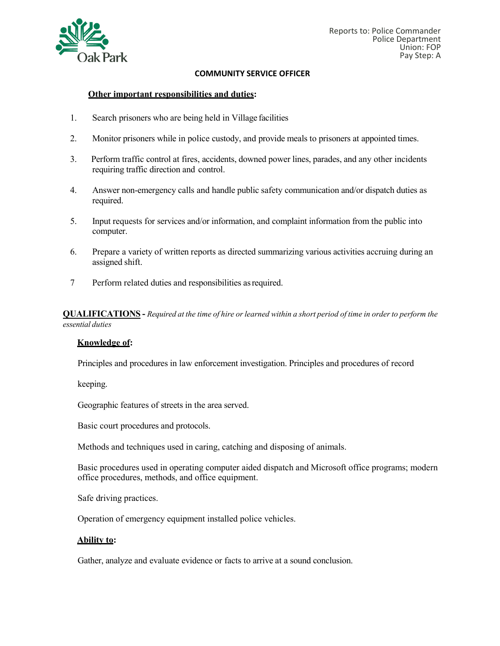

#### **COMMUNITY SERVICE OFFICER**

#### **Other important responsibilities and duties:**

- 1. Search prisoners who are being held in Village facilities
- 2. Monitor prisoners while in police custody, and provide meals to prisoners at appointed times.
- 3. Perform traffic control at fires, accidents, downed power lines, parades, and any other incidents requiring traffic direction and control.
- 4. Answer non-emergency calls and handle public safety communication and/or dispatch duties as required.
- 5. Input requests for services and/or information, and complaint information from the public into computer.
- 6. Prepare a variety of written reports as directed summarizing various activities accruing during an assigned shift.
- 7 Perform related duties and responsibilities asrequired.

**QUALIFICATIONS** - Required at the time of hire or learned within a short period of time in order to perform the *essential duties*

#### **Knowledge of:**

Principles and procedures in law enforcement investigation. Principles and procedures of record

keeping.

Geographic features of streets in the area served.

Basic court procedures and protocols.

Methods and techniques used in caring, catching and disposing of animals.

Basic procedures used in operating computer aided dispatch and Microsoft office programs; modern office procedures, methods, and office equipment.

Safe driving practices.

Operation of emergency equipment installed police vehicles.

#### **Ability to:**

Gather, analyze and evaluate evidence or facts to arrive at a sound conclusion.